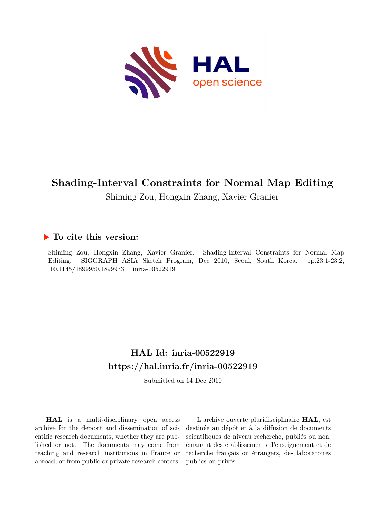

# **Shading-Interval Constraints for Normal Map Editing**

Shiming Zou, Hongxin Zhang, Xavier Granier

### **To cite this version:**

Shiming Zou, Hongxin Zhang, Xavier Granier. Shading-Interval Constraints for Normal Map Editing. SIGGRAPH ASIA Sketch Program, Dec 2010, Seoul, South Korea. pp.23:1-23:2, 10.1145/1899950.1899973. inria-00522919

## **HAL Id: inria-00522919 <https://hal.inria.fr/inria-00522919>**

Submitted on 14 Dec 2010

**HAL** is a multi-disciplinary open access archive for the deposit and dissemination of scientific research documents, whether they are published or not. The documents may come from teaching and research institutions in France or abroad, or from public or private research centers.

L'archive ouverte pluridisciplinaire **HAL**, est destinée au dépôt et à la diffusion de documents scientifiques de niveau recherche, publiés ou non, émanant des établissements d'enseignement et de recherche français ou étrangers, des laboratoires publics ou privés.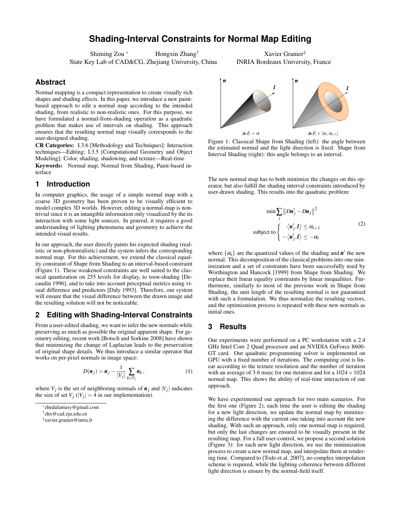### **Shading-Interval Constraints for Normal Map Editing**

Shiming Zou <sup>∗</sup> Hongxin Zhang<sup>†</sup> State Key Lab of CAD&CG, Zhejiang University, China

Xavier Granier‡ INRIA Bordeaux University, France

#### **Abstract**

Normal mapping is a compact representation to create visually rich shapes and shading effects. In this paper, we introduce a new paintbased approach to edit a normal map according to the intended shading, from realistic to non-realistic ones. For this purpose, we have formulated a normal-from-shading operation as a quadratic problem that makes use of intervals on shading. This approach ensures that the resulting normal map visually corresponds to the user-designed shading.

CR Categories: I.3.6 [Methodology and Techniques]: Interaction techniques—Editing; I.3.5 [Computational Geometry and Object Modeling]: Color, shading, shadowing, and texture—Real-time

Keywords: Normal map, Normal from Shading, Paint-based interface

#### **1 Introduction**

In computer graphics, the usage of a simple normal map with a coarse 3D geometry has been proven to be visually efficient to model complex 3D worlds. However, editing a normal-map is nontrivial since it is an intangible information only visualized by the its interaction with some light sources. In general, it requires a good understanding of lighting phenomena and geometry to achieve the intended visual results.

In our approach, the user directly paints his expected shading (realistic or non-photorealistic) and the system infers the corresponding normal map. For this achievement, we extend the classical equality constraint of Shape from Shading to an interval-based constraint (Figure 1). These weakened constraints are well suited to the classical quantization on 255 levels for display, to toon-shading [Decaudin 1996], and to take into account perceptual metrics using visual difference and predictors [Daly 1993]. Therefore, our system will ensure that the visual difference between the drawn image and the resulting solution will not be noticeable.

#### **2 Editing with Shading-Interval Constraints**

From a user-edited shading, we want to infer the new normals while preserving as much as possible the original apparent shape. For geometry editing, recent work [Botsch and Sorkine 2008] have shown that minimizing the change of Laplacian leads to the preservation of original shape details. We thus introduce a similar operator that works on per-pixel normals in image space:

$$
D(\boldsymbol{n}_j) = \boldsymbol{n}_j - \frac{1}{|V_j|} \sum_{k \in V_j} \boldsymbol{n}_k, \tag{1}
$$

where  $V_j$  is the set of neighboring normals of  $n_j$  and  $|V_j|$  indicates the size of set  $V_j$  ( $|V_j| = 4$  in our implementation).



Figure 1: Classical Shape from Shading (left): the angle between the estimated normal and the light direction is fixed. Shape from Interval Shading (right): this angle belongs to an interval.

The new normal map has to both minimize the changes on this operator, but also fulfill the shading interval constraints introduced by user-drawn shading. This results into the quadratic problem:

$$
\min \sum_{j} \|D\mathbf{n}'_{j} - D\mathbf{n}_{j}\|^{2}
$$
  
subject to 
$$
\begin{cases} \langle \mathbf{n}'_{j}, \mathbf{l} \rangle \leq \alpha_{i+1} \\ -\langle \mathbf{n}'_{j}, \mathbf{l} \rangle \leq -\alpha_{i} \end{cases}
$$
 (2)

where  $\{\alpha_i\}$  are the quantized values of the shading and  $n'$  the new normal. This decomposition of the classical problems into one minimization and a set of constraints have been successfully used by Worthington and Hancock [1999] from Shape from Shading. We replace their linear equality constraints by linear inequalities. Furthermore, similarly to most of the previous work in Shape from Shading, the unit length of the resulting normal is not guarantied with such a formulation. We thus normalize the resulting vectors, and the optimization process is repeated with these new normals as initial ones.

#### **3 Results**

Our experiments were performed on a PC workstation with a 2.4 GHz Intel Core 2 Quad processor and an NVIDIA GeForce 8600- GT card. Our quadratic programming solver is implemented on GPU with a fixed number of iterations. The computing cost is linear according to the texture resolution and the number of iteration with an average of 3.6 msec for one iteration and for a  $1024 \times 1024$ normal map. This shows the ability of real-time interaction of our approach.

We have experimented our approach for two main scenarios. For the first one (Figure 2), each time the user is editing the shading for a new light direction, we update the normal map by minimizing the difference with the current one taking into account the new shading. With such an approach, only one normal map is required, but only the last changes are ensured to be visually present in the resulting map. For a full user-control, we propose a second solution (Figure 3): for each new light direction, we use the minimization process to create a new normal map, and interpolate them at rendering time. Compared to [Todo et al. 2007], no complex interpolation scheme is required, while the lighting coherence between different light direction is ensure by the normal-field itself.

<sup>∗</sup> zhedafantasy@gmail.com

<sup>†</sup> zhx@cad.zju.edu.cn

<sup>‡</sup>xavier.granier@inria.fr